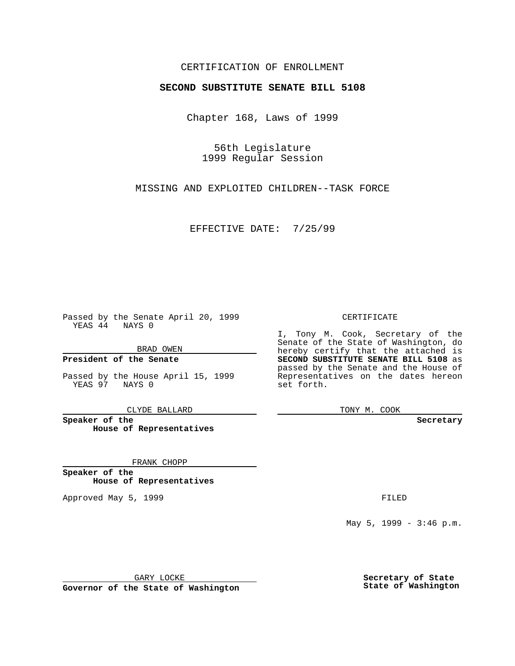### CERTIFICATION OF ENROLLMENT

# **SECOND SUBSTITUTE SENATE BILL 5108**

Chapter 168, Laws of 1999

56th Legislature 1999 Regular Session

MISSING AND EXPLOITED CHILDREN--TASK FORCE

EFFECTIVE DATE: 7/25/99

Passed by the Senate April 20, 1999 YEAS 44 NAYS 0

BRAD OWEN

**President of the Senate**

Passed by the House April 15, 1999 YEAS 97 NAYS 0

CLYDE BALLARD

**Speaker of the House of Representatives**

FRANK CHOPP

**Speaker of the House of Representatives**

Approved May 5, 1999 **FILED** 

CERTIFICATE

I, Tony M. Cook, Secretary of the Senate of the State of Washington, do hereby certify that the attached is **SECOND SUBSTITUTE SENATE BILL 5108** as passed by the Senate and the House of Representatives on the dates hereon set forth.

TONY M. COOK

**Secretary**

May 5, 1999 - 3:46 p.m.

GARY LOCKE

**Governor of the State of Washington**

**Secretary of State State of Washington**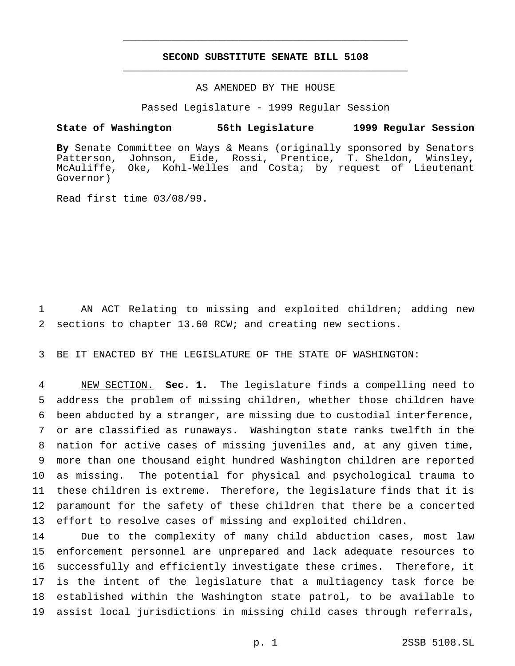## **SECOND SUBSTITUTE SENATE BILL 5108** \_\_\_\_\_\_\_\_\_\_\_\_\_\_\_\_\_\_\_\_\_\_\_\_\_\_\_\_\_\_\_\_\_\_\_\_\_\_\_\_\_\_\_\_\_\_\_

\_\_\_\_\_\_\_\_\_\_\_\_\_\_\_\_\_\_\_\_\_\_\_\_\_\_\_\_\_\_\_\_\_\_\_\_\_\_\_\_\_\_\_\_\_\_\_

#### AS AMENDED BY THE HOUSE

Passed Legislature - 1999 Regular Session

#### **State of Washington 56th Legislature 1999 Regular Session**

**By** Senate Committee on Ways & Means (originally sponsored by Senators Patterson, Johnson, Eide, Rossi, Prentice, T. Sheldon, Winsley, McAuliffe, Oke, Kohl-Welles and Costa; by request of Lieutenant Governor)

Read first time 03/08/99.

 AN ACT Relating to missing and exploited children; adding new sections to chapter 13.60 RCW; and creating new sections.

BE IT ENACTED BY THE LEGISLATURE OF THE STATE OF WASHINGTON:

 NEW SECTION. **Sec. 1.** The legislature finds a compelling need to address the problem of missing children, whether those children have been abducted by a stranger, are missing due to custodial interference, or are classified as runaways. Washington state ranks twelfth in the nation for active cases of missing juveniles and, at any given time, more than one thousand eight hundred Washington children are reported as missing. The potential for physical and psychological trauma to these children is extreme. Therefore, the legislature finds that it is paramount for the safety of these children that there be a concerted effort to resolve cases of missing and exploited children.

 Due to the complexity of many child abduction cases, most law enforcement personnel are unprepared and lack adequate resources to successfully and efficiently investigate these crimes. Therefore, it is the intent of the legislature that a multiagency task force be established within the Washington state patrol, to be available to assist local jurisdictions in missing child cases through referrals,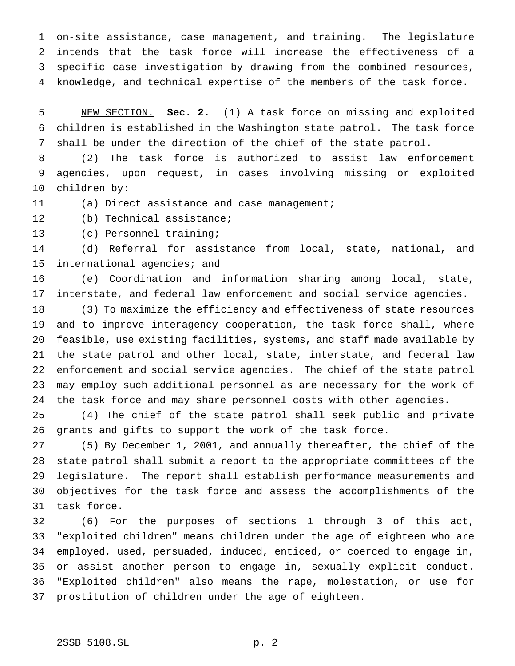on-site assistance, case management, and training. The legislature intends that the task force will increase the effectiveness of a specific case investigation by drawing from the combined resources, knowledge, and technical expertise of the members of the task force.

 NEW SECTION. **Sec. 2.** (1) A task force on missing and exploited children is established in the Washington state patrol. The task force shall be under the direction of the chief of the state patrol.

 (2) The task force is authorized to assist law enforcement agencies, upon request, in cases involving missing or exploited children by:

(a) Direct assistance and case management;

(b) Technical assistance;

(c) Personnel training;

 (d) Referral for assistance from local, state, national, and international agencies; and

 (e) Coordination and information sharing among local, state, interstate, and federal law enforcement and social service agencies.

 (3) To maximize the efficiency and effectiveness of state resources and to improve interagency cooperation, the task force shall, where feasible, use existing facilities, systems, and staff made available by the state patrol and other local, state, interstate, and federal law enforcement and social service agencies. The chief of the state patrol may employ such additional personnel as are necessary for the work of the task force and may share personnel costs with other agencies.

 (4) The chief of the state patrol shall seek public and private grants and gifts to support the work of the task force.

 (5) By December 1, 2001, and annually thereafter, the chief of the state patrol shall submit a report to the appropriate committees of the legislature. The report shall establish performance measurements and objectives for the task force and assess the accomplishments of the task force.

 (6) For the purposes of sections 1 through 3 of this act, "exploited children" means children under the age of eighteen who are employed, used, persuaded, induced, enticed, or coerced to engage in, or assist another person to engage in, sexually explicit conduct. "Exploited children" also means the rape, molestation, or use for prostitution of children under the age of eighteen.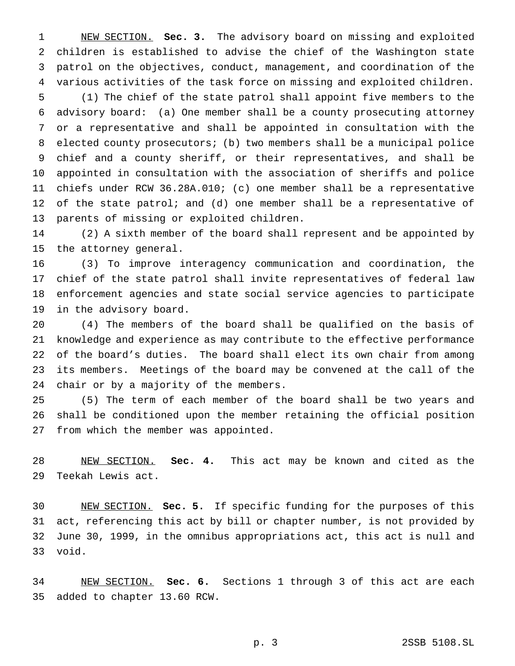NEW SECTION. **Sec. 3.** The advisory board on missing and exploited children is established to advise the chief of the Washington state patrol on the objectives, conduct, management, and coordination of the various activities of the task force on missing and exploited children. (1) The chief of the state patrol shall appoint five members to the advisory board: (a) One member shall be a county prosecuting attorney or a representative and shall be appointed in consultation with the elected county prosecutors; (b) two members shall be a municipal police chief and a county sheriff, or their representatives, and shall be appointed in consultation with the association of sheriffs and police chiefs under RCW 36.28A.010; (c) one member shall be a representative 12 of the state patrol; and (d) one member shall be a representative of

 (2) A sixth member of the board shall represent and be appointed by the attorney general.

parents of missing or exploited children.

 (3) To improve interagency communication and coordination, the chief of the state patrol shall invite representatives of federal law enforcement agencies and state social service agencies to participate in the advisory board.

 (4) The members of the board shall be qualified on the basis of knowledge and experience as may contribute to the effective performance of the board's duties. The board shall elect its own chair from among its members. Meetings of the board may be convened at the call of the chair or by a majority of the members.

 (5) The term of each member of the board shall be two years and shall be conditioned upon the member retaining the official position from which the member was appointed.

 NEW SECTION. **Sec. 4.** This act may be known and cited as the Teekah Lewis act.

 NEW SECTION. **Sec. 5.** If specific funding for the purposes of this act, referencing this act by bill or chapter number, is not provided by June 30, 1999, in the omnibus appropriations act, this act is null and void.

 NEW SECTION. **Sec. 6.** Sections 1 through 3 of this act are each added to chapter 13.60 RCW.